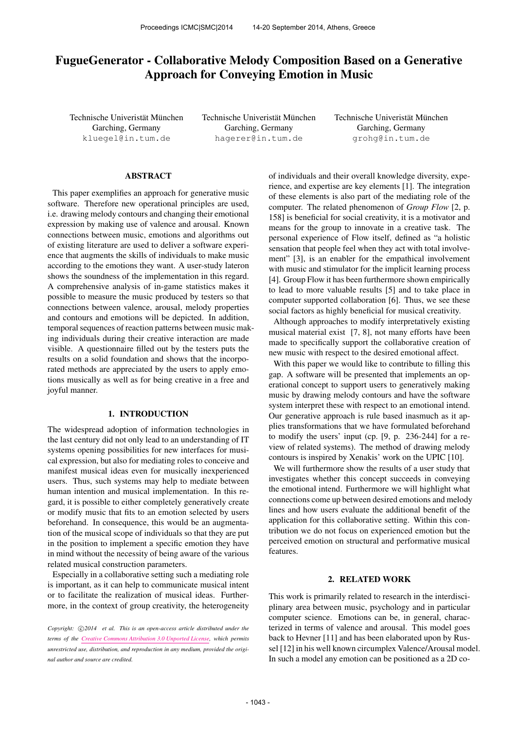# FugueGenerator - Collaborative Melody Composition Based on a Generative Approach for Conveying Emotion in Music

Technische Univeristät München Garching, Germany [kluegel@in.tum.de](mailto:kluegel@in.tum.de)

Technische Univeristät München Garching, Germany [hagerer@in.tum.de](mailto:hagerer@in.tum.de)

Technische Univeristät München Garching, Germany [grohg@in.tum.de](mailto:grohg@in.tum.de)

# ABSTRACT

This paper exemplifies an approach for generative music software. Therefore new operational principles are used, i.e. drawing melody contours and changing their emotional expression by making use of valence and arousal. Known connections between music, emotions and algorithms out of existing literature are used to deliver a software experience that augments the skills of individuals to make music according to the emotions they want. A user-study lateron shows the soundness of the implementation in this regard. A comprehensive analysis of in-game statistics makes it possible to measure the music produced by testers so that connections between valence, arousal, melody properties and contours and emotions will be depicted. In addition, temporal sequences of reaction patterns between music making individuals during their creative interaction are made visible. A questionnaire filled out by the testers puts the results on a solid foundation and shows that the incorporated methods are appreciated by the users to apply emotions musically as well as for being creative in a free and joyful manner.

## 1. INTRODUCTION

The widespread adoption of information technologies in the last century did not only lead to an understanding of IT systems opening possibilities for new interfaces for musical expression, but also for mediating roles to conceive and manifest musical ideas even for musically inexperienced users. Thus, such systems may help to mediate between human intention and musical implementation. In this regard, it is possible to either completely generatively create or modify music that fits to an emotion selected by users beforehand. In consequence, this would be an augmentation of the musical scope of individuals so that they are put in the position to implement a specific emotion they have in mind without the necessity of being aware of the various related musical construction parameters.

Especially in a collaborative setting such a mediating role is important, as it can help to communicate musical intent or to facilitate the realization of musical ideas. Furthermore, in the context of group creativity, the heterogeneity of individuals and their overall knowledge diversity, experience, and expertise are key elements [1]. The integration of these elements is also part of the mediating role of the computer. The related phenomenon of *Group Flow* [2, p. 158] is beneficial for social creativity, it is a motivator and means for the group to innovate in a creative task. The personal experience of Flow itself, defined as "a holistic sensation that people feel when they act with total involvement" [3], is an enabler for the empathical involvement with music and stimulator for the implicit learning process [4]. Group Flow it has been furthermore shown empirically to lead to more valuable results [5] and to take place in computer supported collaboration [6]. Thus, we see these social factors as highly beneficial for musical creativity.

Although approaches to modify interpretatively existing musical material exist [7, 8], not many efforts have been made to specifically support the collaborative creation of new music with respect to the desired emotional affect.

With this paper we would like to contribute to filling this gap. A software will be presented that implements an operational concept to support users to generatively making music by drawing melody contours and have the software system interpret these with respect to an emotional intend. Our generative approach is rule based inasmuch as it applies transformations that we have formulated beforehand to modify the users' input (cp. [9, p. 236-244] for a review of related systems). The method of drawing melody contours is inspired by Xenakis' work on the UPIC [10].

We will furthermore show the results of a user study that investigates whether this concept succeeds in conveying the emotional intend. Furthermore we will highlight what connections come up between desired emotions and melody lines and how users evaluate the additional benefit of the application for this collaborative setting. Within this contribution we do not focus on experienced emotion but the perceived emotion on structural and performative musical features.

#### 2. RELATED WORK

This work is primarily related to research in the interdisciplinary area between music, psychology and in particular computer science. Emotions can be, in general, characterized in terms of valence and arousal. This model goes back to Hevner [11] and has been elaborated upon by Russel [12] in his well known circumplex Valence/Arousal model. In such a model any emotion can be positioned as a 2D co-

*Copyright:*  $\bigcirc$  *C* $2014$  *et al. This is an open-access article distributed under the terms of the [Creative Commons Attribution 3.0 Unported License,](http://creativecommons.org/licenses/by/3.0/) which permits unrestricted use, distribution, and reproduction in any medium, provided the original author and source are credited.*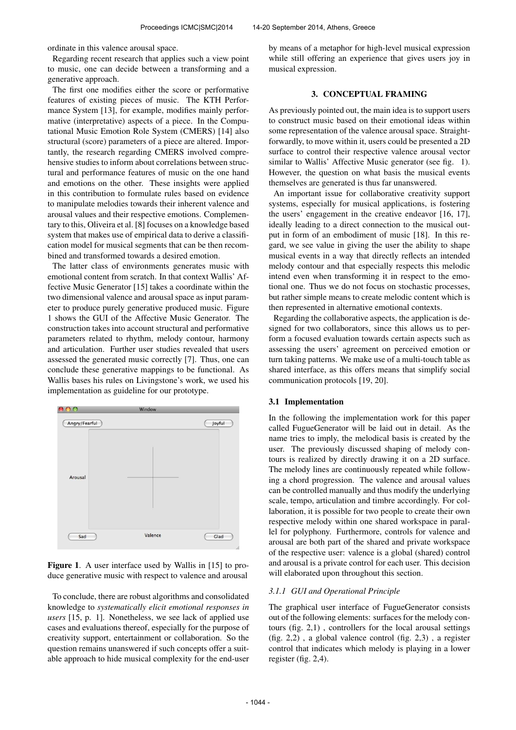ordinate in this valence arousal space.

Regarding recent research that applies such a view point to music, one can decide between a transforming and a generative approach.

The first one modifies either the score or performative features of existing pieces of music. The KTH Performance System [13], for example, modifies mainly performative (interpretative) aspects of a piece. In the Computational Music Emotion Role System (CMERS) [14] also structural (score) parameters of a piece are altered. Importantly, the research regarding CMERS involved comprehensive studies to inform about correlations between structural and performance features of music on the one hand and emotions on the other. These insights were applied in this contribution to formulate rules based on evidence to manipulate melodies towards their inherent valence and arousal values and their respective emotions. Complementary to this, Oliveira et al. [8] focuses on a knowledge based system that makes use of empirical data to derive a classification model for musical segments that can be then recombined and transformed towards a desired emotion.

The latter class of environments generates music with emotional content from scratch. In that context Wallis' Affective Music Generator [15] takes a coordinate within the two dimensional valence and arousal space as input parameter to produce purely generative produced music. Figure 1 shows the GUI of the Affective Music Generator. The construction takes into account structural and performative parameters related to rhythm, melody contour, harmony and articulation. Further user studies revealed that users assessed the generated music correctly [7]. Thus, one can conclude these generative mappings to be functional. As Wallis bases his rules on Livingstone's work, we used his implementation as guideline for our prototype.



Figure 1. A user interface used by Wallis in [15] to produce generative music with respect to valence and arousal

To conclude, there are robust algorithms and consolidated knowledge to *systematically elicit emotional responses in users* [15, p. 1]. Nonetheless, we see lack of applied use cases and evaluations thereof, especially for the purpose of creativity support, entertainment or collaboration. So the question remains unanswered if such concepts offer a suitable approach to hide musical complexity for the end-user by means of a metaphor for high-level musical expression while still offering an experience that gives users joy in musical expression.

#### 3. CONCEPTUAL FRAMING

As previously pointed out, the main idea is to support users to construct music based on their emotional ideas within some representation of the valence arousal space. Straightforwardly, to move within it, users could be presented a 2D surface to control their respective valence arousal vector similar to Wallis' Affective Music generator (see fig. 1). However, the question on what basis the musical events themselves are generated is thus far unanswered.

An important issue for collaborative creativity support systems, especially for musical applications, is fostering the users' engagement in the creative endeavor [16, 17], ideally leading to a direct connection to the musical output in form of an embodiment of music [18]. In this regard, we see value in giving the user the ability to shape musical events in a way that directly reflects an intended melody contour and that especially respects this melodic intend even when transforming it in respect to the emotional one. Thus we do not focus on stochastic processes, but rather simple means to create melodic content which is then represented in alternative emotional contexts.

Regarding the collaborative aspects, the application is designed for two collaborators, since this allows us to perform a focused evaluation towards certain aspects such as assessing the users' agreement on perceived emotion or turn taking patterns. We make use of a multi-touch table as shared interface, as this offers means that simplify social communication protocols [19, 20].

## 3.1 Implementation

In the following the implementation work for this paper called FugueGenerator will be laid out in detail. As the name tries to imply, the melodical basis is created by the user. The previously discussed shaping of melody contours is realized by directly drawing it on a 2D surface. The melody lines are continuously repeated while following a chord progression. The valence and arousal values can be controlled manually and thus modify the underlying scale, tempo, articulation and timbre accordingly. For collaboration, it is possible for two people to create their own respective melody within one shared workspace in parallel for polyphony. Furthermore, controls for valence and arousal are both part of the shared and private workspace of the respective user: valence is a global (shared) control and arousal is a private control for each user. This decision will elaborated upon throughout this section.

#### *3.1.1 GUI and Operational Principle*

The graphical user interface of FugueGenerator consists out of the following elements: surfaces for the melody contours (fig. 2,1) , controllers for the local arousal settings (fig. 2,2) , a global valence control (fig. 2,3) , a register control that indicates which melody is playing in a lower register (fig. 2,4).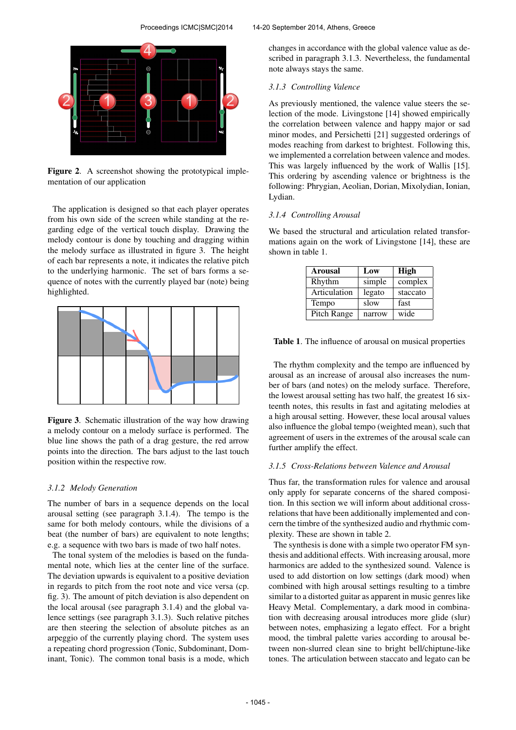

Figure 2. A screenshot showing the prototypical imple-

mentation of our application

The application is designed so that each player operates from his own side of the screen while standing at the regarding edge of the vertical touch display. Drawing the melody contour is done by touching and dragging within the melody surface as illustrated in figure 3. The height of each bar represents a note, it indicates the relative pitch to the underlying harmonic. The set of bars forms a sequence of notes with the currently played bar (note) being highlighted.



Figure 3. Schematic illustration of the way how drawing a melody contour on a melody surface is performed. The blue line shows the path of a drag gesture, the red arrow points into the direction. The bars adjust to the last touch position within the respective row.

## *3.1.2 Melody Generation*

The number of bars in a sequence depends on the local arousal setting (see paragraph 3.1.4). The tempo is the same for both melody contours, while the divisions of a beat (the number of bars) are equivalent to note lengths; e.g. a sequence with two bars is made of two half notes.

The tonal system of the melodies is based on the fundamental note, which lies at the center line of the surface. The deviation upwards is equivalent to a positive deviation in regards to pitch from the root note and vice versa (cp. fig. 3). The amount of pitch deviation is also dependent on the local arousal (see paragraph 3.1.4) and the global valence settings (see paragraph 3.1.3). Such relative pitches are then steering the selection of absolute pitches as an arpeggio of the currently playing chord. The system uses a repeating chord progression (Tonic, Subdominant, Dominant, Tonic). The common tonal basis is a mode, which changes in accordance with the global valence value as described in paragraph 3.1.3. Nevertheless, the fundamental note always stays the same.

#### *3.1.3 Controlling Valence*

As previously mentioned, the valence value steers the selection of the mode. Livingstone [14] showed empirically the correlation between valence and happy major or sad minor modes, and Persichetti [21] suggested orderings of modes reaching from darkest to brightest. Following this, we implemented a correlation between valence and modes. This was largely influenced by the work of Wallis [15]. This ordering by ascending valence or brightness is the following: Phrygian, Aeolian, Dorian, Mixolydian, Ionian, Lydian.

# *3.1.4 Controlling Arousal*

We based the structural and articulation related transformations again on the work of Livingstone [14], these are shown in table 1.

| <b>Arousal</b> | Low    | High     |
|----------------|--------|----------|
| Rhythm         | simple | complex  |
| Articulation   | legato | staccato |
| Tempo          | slow   | fast     |
| Pitch Range    | narrow | wide     |

Table 1. The influence of arousal on musical properties

The rhythm complexity and the tempo are influenced by arousal as an increase of arousal also increases the number of bars (and notes) on the melody surface. Therefore, the lowest arousal setting has two half, the greatest 16 sixteenth notes, this results in fast and agitating melodies at a high arousal setting. However, these local arousal values also influence the global tempo (weighted mean), such that agreement of users in the extremes of the arousal scale can further amplify the effect.

#### *3.1.5 Cross-Relations between Valence and Arousal*

Thus far, the transformation rules for valence and arousal only apply for separate concerns of the shared composition. In this section we will inform about additional crossrelations that have been additionally implemented and concern the timbre of the synthesized audio and rhythmic complexity. These are shown in table 2.

The synthesis is done with a simple two operator FM synthesis and additional effects. With increasing arousal, more harmonics are added to the synthesized sound. Valence is used to add distortion on low settings (dark mood) when combined with high arousal settings resulting to a timbre similar to a distorted guitar as apparent in music genres like Heavy Metal. Complementary, a dark mood in combination with decreasing arousal introduces more glide (slur) between notes, emphasizing a legato effect. For a bright mood, the timbral palette varies according to arousal between non-slurred clean sine to bright bell/chiptune-like tones. The articulation between staccato and legato can be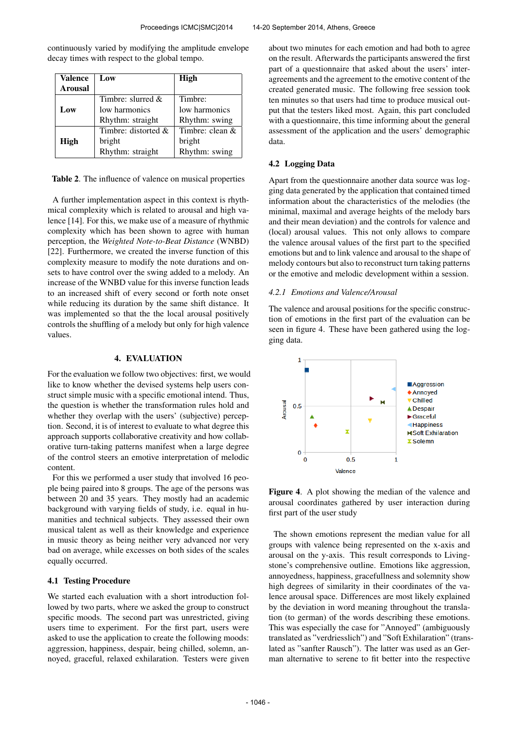| Valence<br><b>Arousal</b> | Low                 | High              |
|---------------------------|---------------------|-------------------|
|                           | Timbre: slurred $&$ | Timbre:           |
| Low                       | low harmonics       | low harmonics     |
|                           | Rhythm: straight    | Rhythm: swing     |
|                           | Timbre: distorted & | Timbre: clean $&$ |
| <b>High</b>               | bright              | bright            |
|                           | Rhythm: straight    | Rhythm: swing     |

continuously varied by modifying the amplitude envelope decay times with respect to the global tempo.

Table 2. The influence of valence on musical properties

A further implementation aspect in this context is rhythmical complexity which is related to arousal and high valence [14]. For this, we make use of a measure of rhythmic complexity which has been shown to agree with human perception, the *Weighted Note-to-Beat Distance* (WNBD) [22]. Furthermore, we created the inverse function of this complexity measure to modify the note durations and onsets to have control over the swing added to a melody. An increase of the WNBD value for this inverse function leads to an increased shift of every second or forth note onset while reducing its duration by the same shift distance. It was implemented so that the the local arousal positively controls the shuffling of a melody but only for high valence values.

## 4. EVALUATION

For the evaluation we follow two objectives: first, we would like to know whether the devised systems help users construct simple music with a specific emotional intend. Thus, the question is whether the transformation rules hold and whether they overlap with the users' (subjective) perception. Second, it is of interest to evaluate to what degree this approach supports collaborative creativity and how collaborative turn-taking patterns manifest when a large degree of the control steers an emotive interpretation of melodic content.

For this we performed a user study that involved 16 people being paired into 8 groups. The age of the persons was between 20 and 35 years. They mostly had an academic background with varying fields of study, i.e. equal in humanities and technical subjects. They assessed their own musical talent as well as their knowledge and experience in music theory as being neither very advanced nor very bad on average, while excesses on both sides of the scales equally occurred.

#### 4.1 Testing Procedure

We started each evaluation with a short introduction followed by two parts, where we asked the group to construct specific moods. The second part was unrestricted, giving users time to experiment. For the first part, users were asked to use the application to create the following moods: aggression, happiness, despair, being chilled, solemn, annoyed, graceful, relaxed exhilaration. Testers were given about two minutes for each emotion and had both to agree on the result. Afterwards the participants answered the first part of a questionnaire that asked about the users' interagreements and the agreement to the emotive content of the created generated music. The following free session took ten minutes so that users had time to produce musical output that the testers liked most. Again, this part concluded with a questionnaire, this time informing about the general assessment of the application and the users' demographic data.

## 4.2 Logging Data

Apart from the questionnaire another data source was logging data generated by the application that contained timed information about the characteristics of the melodies (the minimal, maximal and average heights of the melody bars and their mean deviation) and the controls for valence and (local) arousal values. This not only allows to compare the valence arousal values of the first part to the specified emotions but and to link valence and arousal to the shape of melody contours but also to reconstruct turn taking patterns or the emotive and melodic development within a session.

#### *4.2.1 Emotions and Valence/Arousal*

The valence and arousal positions for the specific construction of emotions in the first part of the evaluation can be seen in figure 4. These have been gathered using the logging data.



Figure 4. A plot showing the median of the valence and arousal coordinates gathered by user interaction during first part of the user study

The shown emotions represent the median value for all groups with valence being represented on the x-axis and arousal on the y-axis. This result corresponds to Livingstone's comprehensive outline. Emotions like aggression, annoyedness, happiness, gracefullness and solemnity show high degrees of similarity in their coordinates of the valence arousal space. Differences are most likely explained by the deviation in word meaning throughout the translation (to german) of the words describing these emotions. This was especially the case for "Annoyed" (ambiguously translated as "verdriesslich") and "Soft Exhilaration" (translated as "sanfter Rausch"). The latter was used as an German alternative to serene to fit better into the respective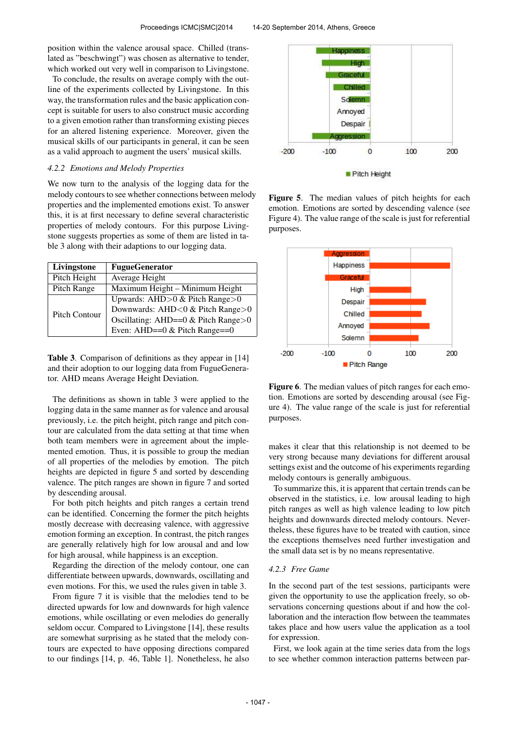position within the valence arousal space. Chilled (translated as "beschwingt") was chosen as alternative to tender, which worked out very well in comparison to Livingstone.

To conclude, the results on average comply with the outline of the experiments collected by Livingstone. In this way, the transformation rules and the basic application concept is suitable for users to also construct music according to a given emotion rather than transforming existing pieces for an altered listening experience. Moreover, given the musical skills of our participants in general, it can be seen as a valid approach to augment the users' musical skills.

## *4.2.2 Emotions and Melody Properties*

We now turn to the analysis of the logging data for the melody contours to see whether connections between melody properties and the implemented emotions exist. To answer this, it is at first necessary to define several characteristic properties of melody contours. For this purpose Livingstone suggests properties as some of them are listed in table 3 along with their adaptions to our logging data.

| Livingstone   | <b>FugueGenerator</b>                |
|---------------|--------------------------------------|
| Pitch Height  | Average Height                       |
| Pitch Range   | Maximum Height - Minimum Height      |
| Pitch Contour | Upwards: AHD $>0$ & Pitch Range $>0$ |
|               | Downwards: AHD<0 & Pitch Range>0     |
|               | Oscillating: AHD==0 & Pitch Range>0  |
|               | Even: AHD== $0 &$ Pitch Range= $=0$  |

Table 3. Comparison of definitions as they appear in [14] and their adoption to our logging data from FugueGenerator. AHD means Average Height Deviation.

The definitions as shown in table 3 were applied to the logging data in the same manner as for valence and arousal previously, i.e. the pitch height, pitch range and pitch contour are calculated from the data setting at that time when both team members were in agreement about the implemented emotion. Thus, it is possible to group the median of all properties of the melodies by emotion. The pitch heights are depicted in figure 5 and sorted by descending valence. The pitch ranges are shown in figure 7 and sorted by descending arousal.

For both pitch heights and pitch ranges a certain trend can be identified. Concerning the former the pitch heights mostly decrease with decreasing valence, with aggressive emotion forming an exception. In contrast, the pitch ranges are generally relatively high for low arousal and and low for high arousal, while happiness is an exception.

Regarding the direction of the melody contour, one can differentiate between upwards, downwards, oscillating and even motions. For this, we used the rules given in table 3.

From figure 7 it is visible that the melodies tend to be directed upwards for low and downwards for high valence emotions, while oscillating or even melodies do generally seldom occur. Compared to Livingstone [14], these results are somewhat surprising as he stated that the melody contours are expected to have opposing directions compared to our findings [14, p. 46, Table 1]. Nonetheless, he also



Figure 5. The median values of pitch heights for each emotion. Emotions are sorted by descending valence (see Figure 4). The value range of the scale is just for referential purposes.



Figure 6. The median values of pitch ranges for each emotion. Emotions are sorted by descending arousal (see Figure 4). The value range of the scale is just for referential purposes.

makes it clear that this relationship is not deemed to be very strong because many deviations for different arousal settings exist and the outcome of his experiments regarding melody contours is generally ambiguous.

To summarize this, it is apparent that certain trends can be observed in the statistics, i.e. low arousal leading to high pitch ranges as well as high valence leading to low pitch heights and downwards directed melody contours. Nevertheless, these figures have to be treated with caution, since the exceptions themselves need further investigation and the small data set is by no means representative.

## *4.2.3 Free Game*

In the second part of the test sessions, participants were given the opportunity to use the application freely, so observations concerning questions about if and how the collaboration and the interaction flow between the teammates takes place and how users value the application as a tool for expression.

First, we look again at the time series data from the logs to see whether common interaction patterns between par-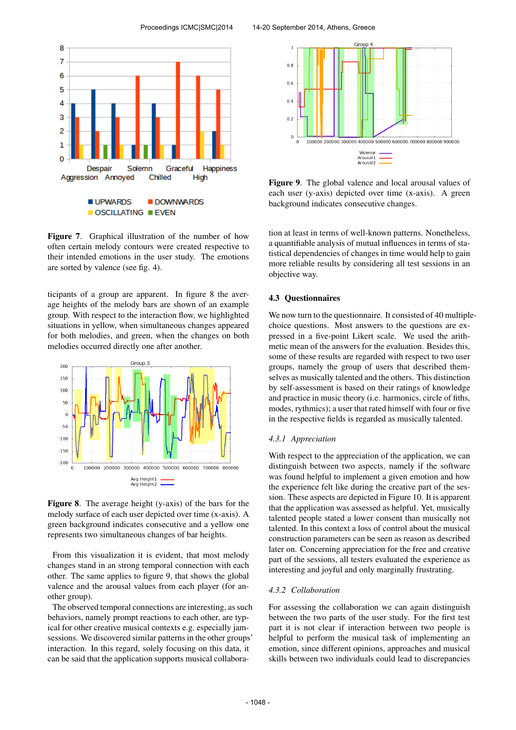

Figure 7. Graphical illustration of the number of how often certain melody contours were created respective to their intended emotions in the user study. The emotions are sorted by valence (see fig. 4).

ticipants of a group are apparent. In figure 8 the average heights of the melody bars are shown of an example group. With respect to the interaction flow, we highlighted situations in yellow, when simultaneous changes appeared for both melodies, and green, when the changes on both melodies occurred directly one after another.



Figure 8. The average height (y-axis) of the bars for the melody surface of each user depicted over time (x-axis). A green background indicates consecutive and a yellow one represents two simultaneous changes of bar heights.

From this visualization it is evident, that most melody changes stand in an strong temporal connection with each other. The same applies to figure 9, that shows the global valence and the arousal values from each player (for another group).

The observed temporal connections are interesting, as such behaviors, namely prompt reactions to each other, are typical for other creative musical contexts e.g. especially jamsessions. We discovered similar patterns in the other groups' interaction. In this regard, solely focusing on this data, it can be said that the application supports musical collabora-



Figure 9. The global valence and local arousal values of each user (y-axis) depicted over time (x-axis). A green background indicates consecutive changes.

tion at least in terms of well-known patterns. Nonetheless, a quantifiable analysis of mutual influences in terms of statistical dependencies of changes in time would help to gain more reliable results by considering all test sessions in an objective way.

## 4.3 Questionnaires

We now turn to the questionnaire. It consisted of 40 multiplechoice questions. Most answers to the questions are expressed in a five-point Likert scale. We used the arithmetic mean of the answers for the evaluation. Besides this, some of these results are regarded with respect to two user groups, namely the group of users that described themselves as musically talented and the others. This distinction by self-assessment is based on their ratings of knowledge and practice in music theory (i.e. harmonics, circle of fiths, modes, rythmics); a user that rated himself with four or five in the respective fields is regarded as musically talented.

#### *4.3.1 Appreciation*

With respect to the appreciation of the application, we can distinguish between two aspects, namely if the software was found helpful to implement a given emotion and how the experience felt like during the creative part of the session. These aspects are depicted in Figure 10. It is apparent that the application was assessed as helpful. Yet, musically talented people stated a lower consent than musically not talented. In this context a loss of control about the musical construction parameters can be seen as reason as described later on. Concerning appreciation for the free and creative part of the sessions, all testers evaluated the experience as interesting and joyful and only marginally frustrating.

#### *4.3.2 Collaboration*

For assessing the collaboration we can again distinguish between the two parts of the user study. For the first test part it is not clear if interaction between two people is helpful to perform the musical task of implementing an emotion, since different opinions, approaches and musical skills between two individuals could lead to discrepancies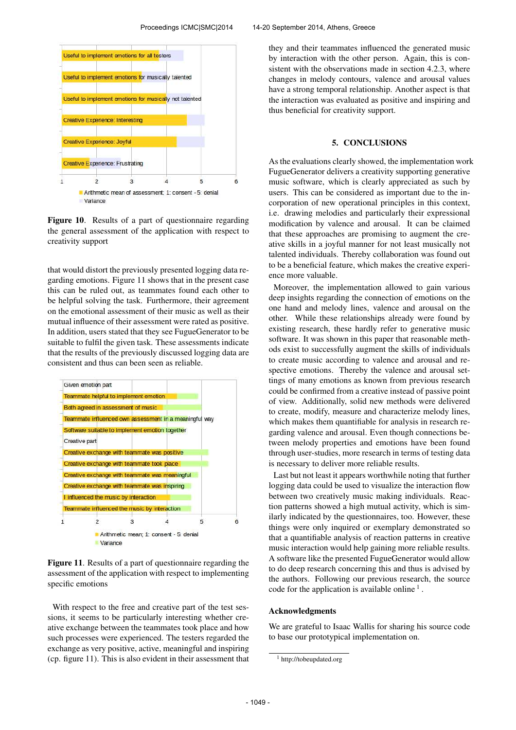

Figure 10. Results of a part of questionnaire regarding the general assessment of the application with respect to creativity support

that would distort the previously presented logging data regarding emotions. Figure 11 shows that in the present case this can be ruled out, as teammates found each other to be helpful solving the task. Furthermore, their agreement on the emotional assessment of their music as well as their mutual influence of their assessment were rated as positive. In addition, users stated that they see FugueGenerator to be suitable to fulfil the given task. These assessments indicate that the results of the previously discussed logging data are consistent and thus can been seen as reliable.



Figure 11. Results of a part of questionnaire regarding the assessment of the application with respect to implementing specific emotions

With respect to the free and creative part of the test sessions, it seems to be particularly interesting whether creative exchange between the teammates took place and how such processes were experienced. The testers regarded the exchange as very positive, active, meaningful and inspiring (cp. figure 11). This is also evident in their assessment that they and their teammates influenced the generated music by interaction with the other person. Again, this is consistent with the observations made in section 4.2.3, where changes in melody contours, valence and arousal values have a strong temporal relationship. Another aspect is that the interaction was evaluated as positive and inspiring and thus beneficial for creativity support.

# 5. CONCLUSIONS

As the evaluations clearly showed, the implementation work FugueGenerator delivers a creativity supporting generative music software, which is clearly appreciated as such by users. This can be considered as important due to the incorporation of new operational principles in this context, i.e. drawing melodies and particularly their expressional modification by valence and arousal. It can be claimed that these approaches are promising to augment the creative skills in a joyful manner for not least musically not talented individuals. Thereby collaboration was found out to be a beneficial feature, which makes the creative experience more valuable.

Moreover, the implementation allowed to gain various deep insights regarding the connection of emotions on the one hand and melody lines, valence and arousal on the other. While these relationships already were found by existing research, these hardly refer to generative music software. It was shown in this paper that reasonable methods exist to successfully augment the skills of individuals to create music according to valence and arousal and respective emotions. Thereby the valence and arousal settings of many emotions as known from previous research could be confirmed from a creative instead of passive point of view. Additionally, solid new methods were delivered to create, modify, measure and characterize melody lines, which makes them quantifiable for analysis in research regarding valence and arousal. Even though connections between melody properties and emotions have been found through user-studies, more research in terms of testing data is necessary to deliver more reliable results.

Last but not least it appears worthwhile noting that further logging data could be used to visualize the interaction flow between two creatively music making individuals. Reaction patterns showed a high mutual activity, which is similarly indicated by the questionnaires, too. However, these things were only inquired or exemplary demonstrated so that a quantifiable analysis of reaction patterns in creative music interaction would help gaining more reliable results. A software like the presented FugueGenerator would allow to do deep research concerning this and thus is advised by the authors. Following our previous research, the source code for the application is available online<sup>1</sup>.

# Acknowledgments

We are grateful to Isaac Wallis for sharing his source code to base our prototypical implementation on.

<sup>&</sup>lt;sup>1</sup> http://tobeupdated.org